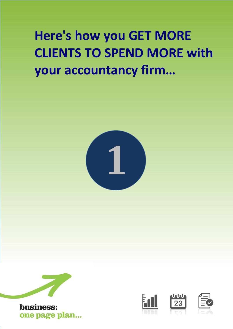# **Here's how you GET MORE CLIENTS TO SPEND MORE with your accountancy firm…**









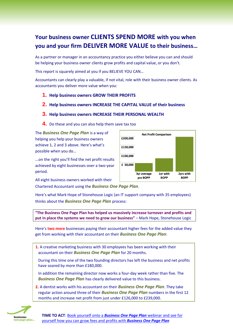## **Your business owner CLIENTS SPEND MORE with you when you and your firm DELIVER MORE VALUE to their business…**

As a partner or manager in an accountancy practice you either believe you can and should be helping your business owner clients grow profits and capital value, or you don't.

This report is squarely aimed at you if you BELIEVE YOU CAN…

Accountants can clearly play a valuable, if not vital, role with their business owner clients. As accountants you deliver more value when you:

- **1. Help business owners GROW THEIR PROFITS**
- **2. Help business owners INCREASE THE CAPITAL VALUE of their business**

### **3. Help business owners INCREASE THEIR PERSONAL WEALTH**

**4.** Do these and you can also help them save tax too

The *Business One Page Plan* is a way of helping you help your business owners achieve 1, 2 and 3 above. Here's what's possible when you do…

...on the right you'll find the net profit results achieved by eight businesses over a two-year period.

All eight business owners worked with their Chartered Accountant using the *Business One Page Plan*.

Here's what Mark Hope of Stonehouse Logic (an IT support company with 35 employees)

thinks about the *Business One Page Plan* process:

**"The Business One Page Plan has helped us massively increase turnover and profits and put in place the systems we need to grow our business"** – Mark Hope, Stonehouse Logic

Here's **two more** businesses paying their accountant higher fees for the added value they get from working with their accountant on their *Business One Page Plan*:

**1.** A creative marketing business with 30 employees has been working with their accountant on their *Business One Page Plan* for 20 months.

During this time one of the two founding directors has left the business and net profits have soared by more than £180,000.

In addition the remaining director now works a four-day week rather than five. The *Business One Page Plan* has clearly delivered value to this business.

**2.** A dentist works with his accountant on their *Business One Page Plan*. They take regular action around three of their *Business One Page Plan* numbers in the first 12 months and increase net profit from just under £126,000 to £239,000.





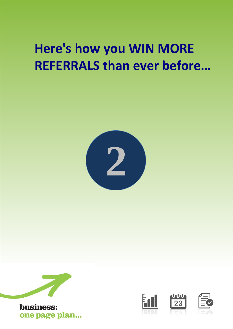# **Here's how you WIN MORE REFERRALS than ever before…**









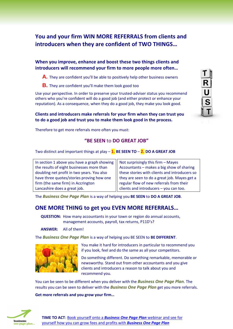## **You and your firm WIN MORE REFERRALS from clients and introducers when they are confident of TWO THINGS…**

### **When you improve, enhance and boost these two things clients and introducers will recommend your firm to more people more often…**

**A.** They are confident you'll be able to positively help other business owners

**B.** They are confident you'll make them look good too

Use your perspective. In order to preserve your trusted-adviser status you recommend others who you're confident will do a good job (and either protect or enhance your reputation). As a consequence, when they do a good job, they make you look good.

RUST

### **Clients and introducers make referrals for your firm when they can trust you to do a good job and trust you to make them look good in the process.**

Therefore to get more referrals more often you must:

### **"BE SEEN** to **DO GREAT JOB"**

Two distinct and important things at play – **1. BE SEEN TO** – **2. DO A GREAT JOB**

| In section 1 above you have a graph showing | Not surprisingly this firm - Mayes            |
|---------------------------------------------|-----------------------------------------------|
| the results of eight businesses more than   | Accountants - makes a big show of sharing     |
| doubling net profit in two years. You also  | these stories with clients and introducers so |
| have three quotes/stories proving how one   | they are seen to do a great job. Mayes get a  |
| firm (the same firm) in Accrington          | regular flow of new referrals from their      |
| Lancashire does a great job.                | clients and introducers - you can too.        |

The *Business One Page Plan* is a way of helping you **BE SEEN** to **DO A GREAT JOB**.

## **ONE MORE THING to get you EVEN MORE REFERRALS…**

**QUESTION:** How many accountants in your town or region do annual accounts, management accounts, payroll, tax returns, P11D's?

**ANSWER:** All of them!

The *Business One Page Plan* is a way of helping you BE SEEN to **BE DIFFERENT**.



You make it hard for introducers in particular to recommend you if you look, feel and do the same as all your competitors.

Do something different. Do something remarkable, memorable or newsworthy. Stand out from other accountants and you give clients and introducers a reason to talk about you and recommend you.

You can be seen to be different when you deliver with the *Business One Page Plan*. The results you can be seen to deliver with the *Business One Page Plan* get you more referrals.

#### **Get more referrals and you grow your firm…**

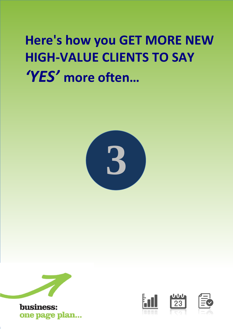# **Here's how you GET MORE NEW HIGH-VALUE CLIENTS TO SAY**  *'YES'* **more often…**









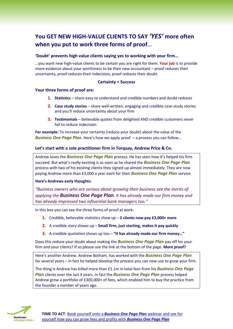## **You GET NEW HIGH-VALUE CLIENTS TO SAY** *'YES'* **more often when you put to work three forms of proof**…

### **'Doubt' prevents high value clients saying yes to working with your firm…**

…you want new high-value clients to be certain you are right for them. **Your job** is to provide more evidence about your worthiness to be their new accountant – proof reduces their uncertainty, proof reduces their indecision, proof reduces their doubt.

### **Certainty = Success**

### **Your three forms of proof are:**

- **1. Statistics** share easy to understand and credible numbers and doubt reduces
- **2. Case study stories** share well-written, engaging and credible case-study stories and you'll reduce uncertainty about your firm
- **3. Testimonials** believable quotes from delighted AND credible customers never fail to reduce indecision

**For example:** To increase your certainty (reduce your doubt) about the value of the *Business One Page Plan*. Here's how we apply proof – a process you can follow…

### **Let's start with a sole practitioner firm in Torquay, Andrew Price & Co.**

Andrew loves the *Business One Page Plan* process. He has seen how it's helped his firm succeed. But what's really exciting is as soon as he shared the *Business One Page Plan* process with two of his existing clients they signed up almost immediately. They are now paying Andrew more than £3,000 a year each for their *Business One Page Plan* service.

#### **Here's Andrews early thoughts:**

*"Business owners who are serious about growing their business see the merits of applying the Business One Page Plan. It has already made our firm money and has already impressed two influential bank managers too."*

In this box you can see the three forms of proof at work:

- **1.** Credible, believable statistics show up **2 clients now pay £3,000+ more**
- **2.** A credible story shows up **Small firm, just starting, makes it pay quickly**
- **3.** A credible quotation shows up too **"It has already made our firm money…"**

Does this reduce your doubt about making the *Business One Page Plan* pay off for your firm and your clients? If so please use the link at the bottom of the page. **More proof?**

Here's another Andrew. Andrew Botham, has worked with the *Business One Page Plan* for several years – in fact he helped develop the process you can now use to grow your firm.

The thing is Andrew has billed more than £1.1m in total fees from his *Business One Page Plan* clients over the last 4 years. In fact the *Business One Page Plan* process helped Andrew grow a portfolio of £300,000+ of fees, which enabled him to buy the practice from the founder a number of years ago.

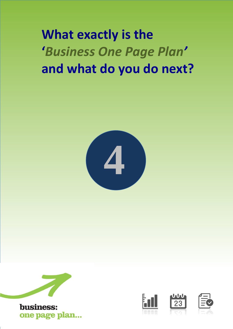**What exactly is the '***Business One Page Plan'*  **and what do you do next?**